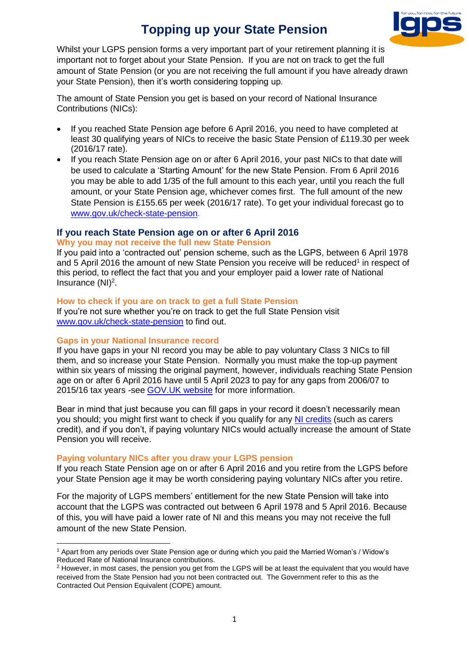# **Topping up your State Pension**



Whilst your LGPS pension forms a very important part of your retirement planning it is important not to forget about your State Pension. If you are not on track to get the full amount of State Pension (or you are not receiving the full amount if you have already drawn your State Pension), then it's worth considering topping up.

The amount of State Pension you get is based on your record of National Insurance Contributions (NICs):

- If you reached State Pension age before 6 April 2016, you need to have completed at least 30 qualifying years of NICs to receive the basic State Pension of £119.30 per week (2016/17 rate).
- If you reach State Pension age on or after 6 April 2016, your past NICs to that date will be used to calculate a 'Starting Amount' for the new State Pension. From 6 April 2016 you may be able to add 1/35 of the full amount to this each year, until you reach the full amount, or your State Pension age, whichever comes first. The full amount of the new State Pension is £155.65 per week (2016/17 rate). To get your individual forecast go to [www.gov.uk/check-state-pension.](http://www.gov.uk/check-state-pension)

# **If you reach State Pension age on or after 6 April 2016**

## **Why you may not receive the full new State Pension**

If you paid into a 'contracted out' pension scheme, such as the LGPS, between 6 April 1978 and 5 April 2016 the amount of new State Pension you receive will be reduced<sup>1</sup> in respect of this period, to reflect the fact that you and your employer paid a lower rate of National Insurance  $(NI)^2$ .

## **How to check if you are on track to get a full State Pension**

If you're not sure whether you're on track to get the full State Pension visit [www.gov.uk/check-state-pension](http://www.gov.uk/check-state-pension) to find out.

#### **Gaps in your National Insurance record**

**.** 

If you have gaps in your NI record you may be able to pay voluntary Class 3 NICs to fill them, and so increase your State Pension. Normally you must make the top-up payment within six years of missing the original payment, however, individuals reaching State Pension age on or after 6 April 2016 have until 5 April 2023 to pay for any gaps from 2006/07 to 2015/16 tax years -see [GOV.UK website](https://www.gov.uk/voluntary-national-insurance-contributions) for more information.

Bear in mind that just because you can fill gaps in your record it doesn't necessarily mean you should; you might first want to check if you qualify for any [NI credits](https://www.gov.uk/national-insurance-credits/eligibility) (such as carers credit), and if you don't, if paying voluntary NICs would actually increase the amount of State Pension you will receive.

# **Paying voluntary NICs after you draw your LGPS pension**

If you reach State Pension age on or after 6 April 2016 and you retire from the LGPS before your State Pension age it may be worth considering paying voluntary NICs after you retire.

For the majority of LGPS members' entitlement for the new State Pension will take into account that the LGPS was contracted out between 6 April 1978 and 5 April 2016. Because of this, you will have paid a lower rate of NI and this means you may not receive the full amount of the new State Pension.

<sup>1</sup> Apart from any periods over State Pension age or during which you paid the Married Woman's / Widow's Reduced Rate of National Insurance contributions.

<sup>&</sup>lt;sup>2</sup> However, in most cases, the pension you get from the LGPS will be at least the equivalent that you would have received from the State Pension had you not been contracted out. The Government refer to this as the Contracted Out Pension Equivalent (COPE) amount.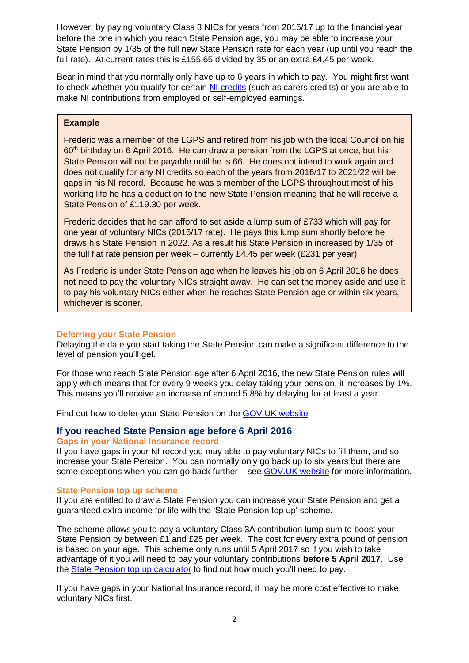However, by paying voluntary Class 3 NICs for years from 2016/17 up to the financial year before the one in which you reach State Pension age, you may be able to increase your State Pension by 1/35 of the full new State Pension rate for each year (up until you reach the full rate). At current rates this is £155.65 divided by 35 or an extra £4.45 per week.

Bear in mind that you normally only have up to 6 years in which to pay. You might first want to check whether you qualify for certain [NI credits](https://www.gov.uk/national-insurance-credits/eligibility) (such as carers credits) or you are able to make NI contributions from employed or self-employed earnings.

## **Example**

Frederic was a member of the LGPS and retired from his job with the local Council on his 60<sup>th</sup> birthday on 6 April 2016. He can draw a pension from the LGPS at once, but his State Pension will not be payable until he is 66. He does not intend to work again and does not qualify for any NI credits so each of the years from 2016/17 to 2021/22 will be gaps in his NI record. Because he was a member of the LGPS throughout most of his working life he has a deduction to the new State Pension meaning that he will receive a State Pension of £119.30 per week.

Frederic decides that he can afford to set aside a lump sum of £733 which will pay for one year of voluntary NICs (2016/17 rate). He pays this lump sum shortly before he draws his State Pension in 2022. As a result his State Pension in increased by 1/35 of the full flat rate pension per week – currently £4.45 per week (£231 per year).

As Frederic is under State Pension age when he leaves his job on 6 April 2016 he does not need to pay the voluntary NICs straight away. He can set the money aside and use it to pay his voluntary NICs either when he reaches State Pension age or within six years, whichever is sooner.

# **Deferring your State Pension**

Delaying the date you start taking the State Pension can make a significant difference to the level of pension you'll get.

For those who reach State Pension age after 6 April 2016, the new State Pension rules will apply which means that for every 9 weeks you delay taking your pension, it increases by 1%. This means you'll receive an increase of around 5.8% by delaying for at least a year.

Find out how to defer your State Pension on the [GOV.UK website](https://www.gov.uk/deferring-state-pension)

# **If you reached State Pension age before 6 April 2016**

#### **Gaps in your National Insurance record**

If you have gaps in your NI record you may able to pay voluntary NICs to fill them, and so increase your State Pension. You can normally only go back up to six years but there are some exceptions when you can go back further – see [GOV.UK website](https://www.gov.uk/voluntary-national-insurance-contributions) for more information.

#### **State Pension top up scheme**

If you are entitled to draw a State Pension you can increase your State Pension and get a guaranteed extra income for life with the 'State Pension top up' scheme.

The scheme allows you to pay a voluntary Class 3A contribution lump sum to boost your State Pension by between £1 and £25 per week. The cost for every extra pound of pension is based on your age. This scheme only runs until 5 April 2017 so if you wish to take advantage of it you will need to pay your voluntary contributions **before 5 April 2017**. Use the [State Pension top up calculator](https://www.gov.uk/state-pension-topup) to find out how much you'll need to pay.

If you have gaps in your National Insurance record, it may be more cost effective to make voluntary NICs first.